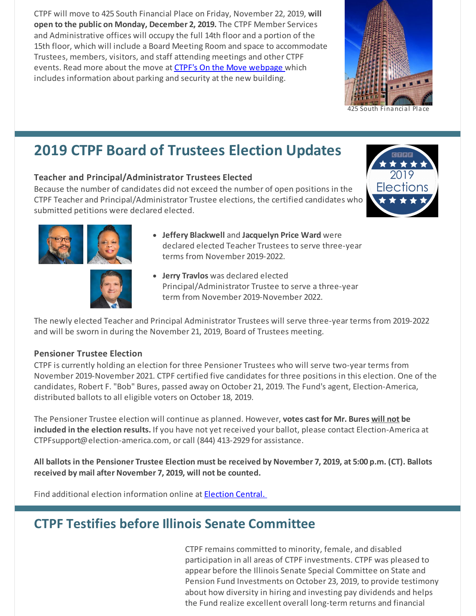CTPF will move to 425 South Financial Place on Friday, November 22, 2019, **will open to the public on Monday, December 2, 2019.** The CTPF Member Services and Administrative offices will occupy the full 14th floor and a portion of the 15th floor, which will include a Board Meeting Room and space to accommodate Trustees, members, visitors, and staff attending meetings and other CTPF events. Read more about the move at CTPF's On the Move [webpage](http://ctpf.org/onthemove) which includes information about parking and security at the new building.



#### South Financial

## **2019 CTPF Board of Trustees Election Updates**

#### **Teacher and Principal/Administrator Trustees Elected**

Because the number of candidates did not exceed the number of open positions in the CTPF Teacher and Principal/Administrator Trustee elections, the certified candidates who submitted petitions were declared elected.







- **Jeffery Blackwell** and **Jacquelyn Price Ward** were declared elected Teacher Trustees to serve three-year terms from November 2019-2022.
- **Jerry Travlos** was declared elected Principal/Administrator Trustee to serve a three-year term from November 2019-November 2022.

The newly elected Teacher and Principal Administrator Trustees will serve three-year terms from 2019-2022 and will be sworn in during the November 21, 2019, Board of Trustees meeting.

#### **Pensioner Trustee Election**

CTPF is currently holding an election for three Pensioner Trustees who will serve two-year terms from November 2019-November 2021. CTPF certified five candidates for three positions in this election. One of the candidates, Robert F. "Bob" Bures, passed away on October 21, 2019. The Fund's agent, Election-America, distributed ballots to all eligible voters on October 18, 2019.

The Pensioner Trustee election will continue as planned. However, **votes cast for Mr. Bures will not be included in the election results.** If you have not yet received your ballot, please contact Election-America at CTPFsupport@election-america.com, or call (844) 413-2929 for assistance.

All ballots in the Pensioner Trustee Election must be received by November 7, 2019, at 5:00 p.m. (CT). Ballots **received by mail after November 7, 2019, will not be counted.**

Find additional election information online at [Election](https://www.ctpf.org/2019-election-central) Central.

## **CTPF Testifies before Illinois Senate Committee**

CTPF remains committed to minority, female, and disabled participation in all areas of CTPF investments. CTPF was pleased to appear before the Illinois Senate Special Committee on State and Pension Fund Investments on October 23, 2019, to provide testimony about how diversity in hiring and investing pay dividends and helps the Fund realize excellent overall long-term returns and financial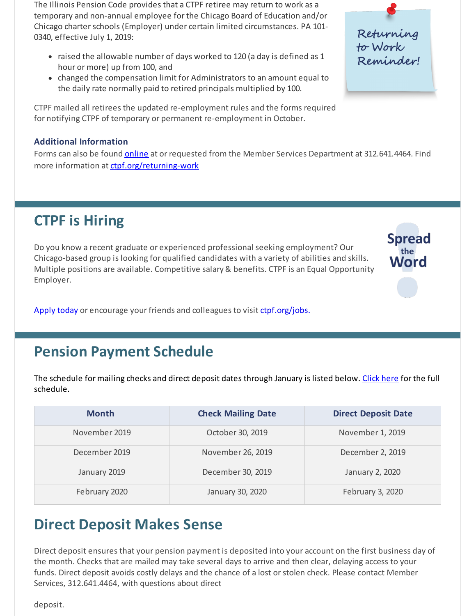The Illinois Pension Code provides that a CTPF retiree may return to work as a temporary and non-annual employee for the Chicago Board of Education and/or Chicago charter schools (Employer) under certain limited circumstances. PA 101- 0340, effective July 1, 2019:

- raised the allowable number of days worked to 120 (a day is defined as 1 hour or more) up from 100, and
- changed the compensation limit for Administrators to an amount equal to the daily rate normally paid to retired principals multiplied by 100.

CTPF mailed all retirees the updated re-employment rules and the forms required for notifying CTPF of temporary or permanent re-employment in October.

#### **Additional Information**

Forms can also be found **online** at or requested from the Member Services Department at 312.641.4464. Find more information at [ctpf.org/returning-work](https://www.ctpf.org/returning-work)

Returning<br>to Work<br>Reminder!

**Spread** the Word

# **CTPF is Hiring**

Do you know a recent graduate or experienced professional seeking employment? Our Chicago-based group is looking for qualified candidates with a variety of abilities and skills. Multiple positions are available. Competitive salary & benefits. CTPF is an Equal Opportunity Employer.

[Apply today](https://bit.ly/2IpJhUF) or encourage your friends and colleagues to visit [ctpf.org/jobs](http://www.ctpf.org/jobs).

## **Pension Payment Schedule**

The schedule for mailing checks and direct deposit dates through January is listed below. [Click here](https://www.ctpf.org/pension-payments) for the full schedule.

| <b>Month</b>  | <b>Check Mailing Date</b> | <b>Direct Deposit Date</b> |
|---------------|---------------------------|----------------------------|
| November 2019 | October 30, 2019          | November 1, 2019           |
| December 2019 | November 26, 2019         | December 2, 2019           |
| January 2019  | December 30, 2019         | January 2, 2020            |
| February 2020 | January 30, 2020          | February 3, 2020           |

# **Direct Deposit Makes Sense**

Direct deposit ensures that your pension payment is deposited into your account on the first business day of the month. Checks that are mailed may take several days to arrive and then clear, delaying access to your funds. Direct deposit avoids costly delays and the chance of a lost or stolen check. Please contact Member [Services, 312.641.4464, with questions about direct](https://www.ctpf.org/sites/main/files/file-attachments/form_425_direct_deposit.pdf)

deposit.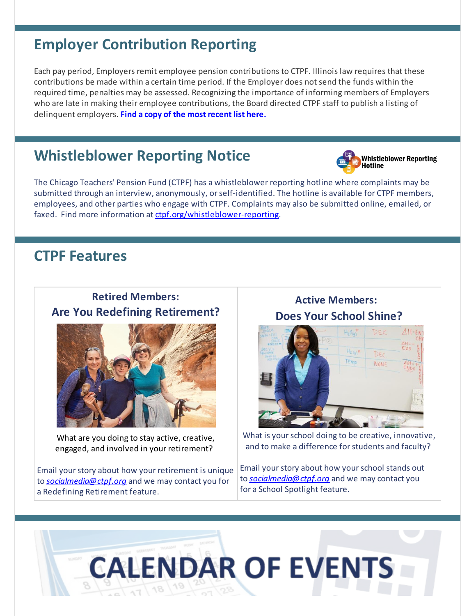## **Employer Contribution Reporting**

Each pay period, Employers remit employee pension contributions to CTPF. Illinois law requires that these contributions be made within a certain time period. If the Employer does not send the funds within the required time, penalties may be assessed. Recognizing the importance of informing members of Employers who are late in making their employee contributions, the Board directed CTPF staff to publish a listing of delinquent employers. **[Find a copy of the most recent list here.](http://ctpf.org/employer-contribution-reporting)**

## **Whistleblower Reporting Notice**



The Chicago Teachers' Pension Fund (CTPF) has a whistleblower reporting hotline where complaints may be submitted through an interview, anonymously, or self-identified. The hotline is available for CTPF members, employees, and other parties who engage with CTPF. Complaints may also be submitted online, emailed, or faxed. Find more information at [ctpf.org/whistleblower-reporting](http://ctpf.org/whistleblower-reporting).

## **CTPF Features**

#### **Retired Members: Are You Redefining Retirement?**



What are you doing to stay active, creative, engaged, and involved in your retirement?

Email your story about how your retirement is unique to *[socialmedia@ctpf.org](mailto:socialmedia@ctpf.org)* and we may contact you for a Redefining Retirement feature.

## **Active Members: Does Your School Shine?**



What is your school doing to be creative, innovative, and to make a difference for students and faculty?

Email your story about how your school stands out to *[socialmedia@ctpf.org](mailto:socialmedia@ctpf.org)* and we may contact you for a School Spotlight feature.

# **CALENDAR OF EVENTS**